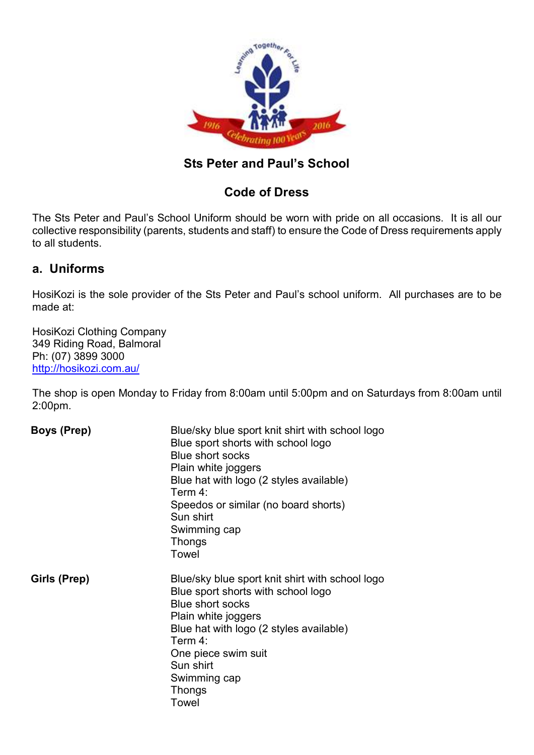

## **Sts Peter and Paul's School**

# **Code of Dress**

The Sts Peter and Paul's School Uniform should be worn with pride on all occasions. It is all our collective responsibility (parents, students and staff) to ensure the Code of Dress requirements apply to all students.

### **a. Uniforms**

HosiKozi is the sole provider of the Sts Peter and Paul's school uniform. All purchases are to be made at:

HosiKozi Clothing Company 349 Riding Road, Balmoral Ph: (07) 3899 3000 <http://hosikozi.com.au/>

The shop is open Monday to Friday from 8:00am until 5:00pm and on Saturdays from 8:00am until 2:00pm.

| <b>Boys (Prep)</b> | Blue/sky blue sport knit shirt with school logo<br>Blue sport shorts with school logo<br><b>Blue short socks</b><br>Plain white joggers<br>Blue hat with logo (2 styles available)<br>Term $4^{\circ}$<br>Speedos or similar (no board shorts)<br>Sun shirt<br>Swimming cap<br><b>Thongs</b><br>Towel |
|--------------------|-------------------------------------------------------------------------------------------------------------------------------------------------------------------------------------------------------------------------------------------------------------------------------------------------------|
| Girls (Prep)       | Blue/sky blue sport knit shirt with school logo<br>Blue sport shorts with school logo<br><b>Blue short socks</b><br>Plain white joggers<br>Blue hat with logo (2 styles available)<br>Term 4:<br>One piece swim suit<br>Sun shirt<br>Swimming cap<br>Thongs<br>Towel                                  |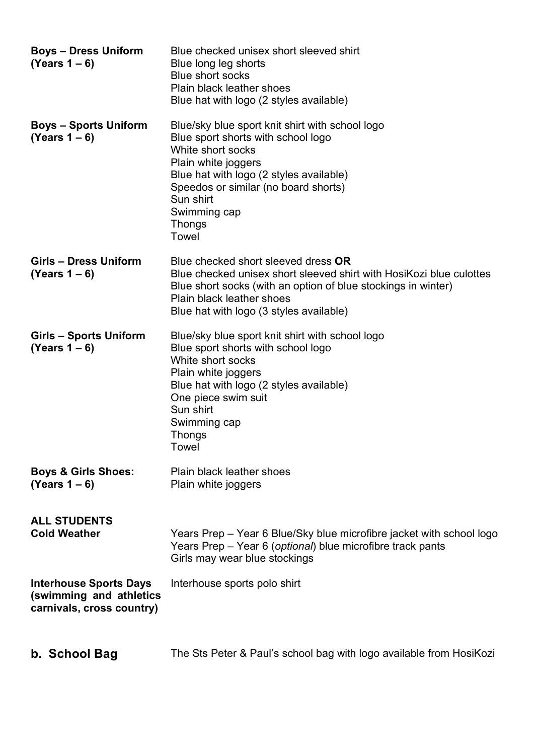| <b>Boys - Dress Uniform</b><br>$(Years 1 - 6)$                                        | Blue checked unisex short sleeved shirt<br>Blue long leg shorts<br><b>Blue short socks</b><br><b>Plain black leather shoes</b><br>Blue hat with logo (2 styles available)                                                                                                   |
|---------------------------------------------------------------------------------------|-----------------------------------------------------------------------------------------------------------------------------------------------------------------------------------------------------------------------------------------------------------------------------|
| <b>Boys – Sports Uniform</b><br>$(Years 1 - 6)$                                       | Blue/sky blue sport knit shirt with school logo<br>Blue sport shorts with school logo<br>White short socks<br>Plain white joggers<br>Blue hat with logo (2 styles available)<br>Speedos or similar (no board shorts)<br>Sun shirt<br>Swimming cap<br><b>Thongs</b><br>Towel |
| Girls - Dress Uniform<br>$(Years 1 - 6)$                                              | Blue checked short sleeved dress OR<br>Blue checked unisex short sleeved shirt with HosiKozi blue culottes<br>Blue short socks (with an option of blue stockings in winter)<br><b>Plain black leather shoes</b><br>Blue hat with logo (3 styles available)                  |
| Girls – Sports Uniform<br>$(Years 1 - 6)$                                             | Blue/sky blue sport knit shirt with school logo<br>Blue sport shorts with school logo<br>White short socks<br>Plain white joggers<br>Blue hat with logo (2 styles available)<br>One piece swim suit<br>Sun shirt<br>Swimming cap<br>Thongs<br>Towel                         |
| <b>Boys &amp; Girls Shoes:</b><br>$(Years 1 - 6)$                                     | <b>Plain black leather shoes</b><br>Plain white joggers                                                                                                                                                                                                                     |
| <b>ALL STUDENTS</b><br><b>Cold Weather</b>                                            | Years Prep – Year 6 Blue/Sky blue microfibre jacket with school logo<br>Years Prep - Year 6 (optional) blue microfibre track pants<br>Girls may wear blue stockings                                                                                                         |
| <b>Interhouse Sports Days</b><br>(swimming and athletics<br>carnivals, cross country) | Interhouse sports polo shirt                                                                                                                                                                                                                                                |
|                                                                                       |                                                                                                                                                                                                                                                                             |

**b. School Bag** The Sts Peter & Paul's school bag with logo available from HosiKozi